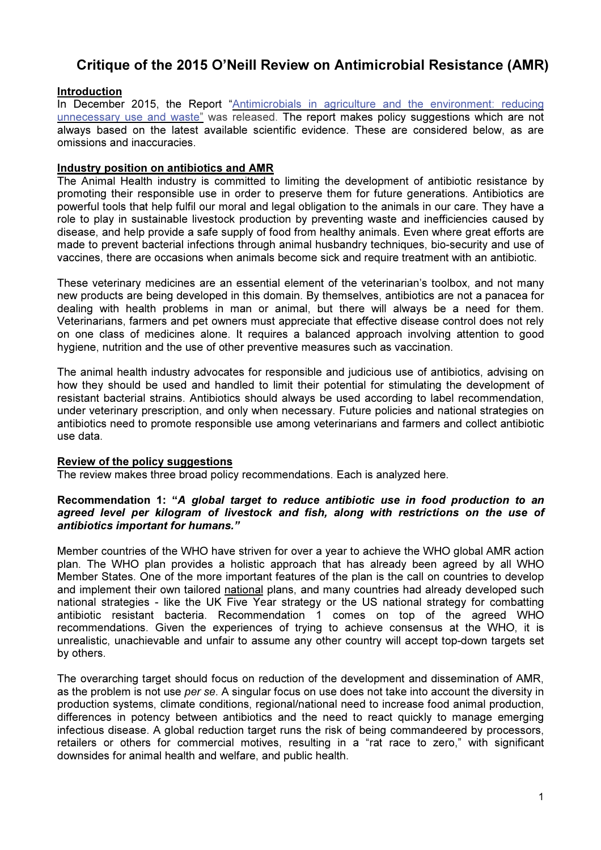# Critique of the 2015 O'Neill Review on Antimicrobial Resistance (AMR)

# **Introduction**

In December 2015, the Report "Antimicrobials in agriculture and the environment: reducing unnecessary use and waste" was released. The report makes policy suggestions which are not always based on the latest available scientific evidence. These are considered below, as are omissions and inaccuracies.

## Industry position on antibiotics and AMR

The Animal Health industry is committed to limiting the development of antibiotic resistance by promoting their responsible use in order to preserve them for future generations. Antibiotics are powerful tools that help fulfil our moral and legal obligation to the animals in our care. They have a role to play in sustainable livestock production by preventing waste and inefficiencies caused by disease, and help provide a safe supply of food from healthy animals. Even where great efforts are made to prevent bacterial infections through animal husbandry techniques, bio-security and use of vaccines, there are occasions when animals become sick and require treatment with an antibiotic.

These veterinary medicines are an essential element of the veterinarian's toolbox, and not many new products are being developed in this domain. By themselves, antibiotics are not a panacea for dealing with health problems in man or animal, but there will always be a need for them. Veterinarians, farmers and pet owners must appreciate that effective disease control does not rely on one class of medicines alone. It requires a balanced approach involving attention to good hygiene, nutrition and the use of other preventive measures such as vaccination.

The animal health industry advocates for responsible and judicious use of antibiotics, advising on how they should be used and handled to limit their potential for stimulating the development of resistant bacterial strains. Antibiotics should always be used according to label recommendation, under veterinary prescription, and only when necessary. Future policies and national strategies on antibiotics need to promote responsible use among veterinarians and farmers and collect antibiotic use data.

#### Review of the policy suggestions

The review makes three broad policy recommendations. Each is analyzed here.

#### Recommendation 1: "A global target to reduce antibiotic use in food production to an agreed level per kilogram of livestock and fish, along with restrictions on the use of antibiotics important for humans."

Member countries of the WHO have striven for over a year to achieve the WHO global AMR action plan. The WHO plan provides a holistic approach that has already been agreed by all WHO Member States. One of the more important features of the plan is the call on countries to develop and implement their own tailored national plans, and many countries had already developed such national strategies - like the UK Five Year strategy or the US national strategy for combatting antibiotic resistant bacteria. Recommendation 1 comes on top of the agreed WHO recommendations. Given the experiences of trying to achieve consensus at the WHO, it is unrealistic, unachievable and unfair to assume any other country will accept top-down targets set by others.

The overarching target should focus on reduction of the development and dissemination of AMR, as the problem is not use per se. A singular focus on use does not take into account the diversity in production systems, climate conditions, regional/national need to increase food animal production, differences in potency between antibiotics and the need to react quickly to manage emerging infectious disease. A global reduction target runs the risk of being commandeered by processors, retailers or others for commercial motives, resulting in a "rat race to zero," with significant downsides for animal health and welfare, and public health.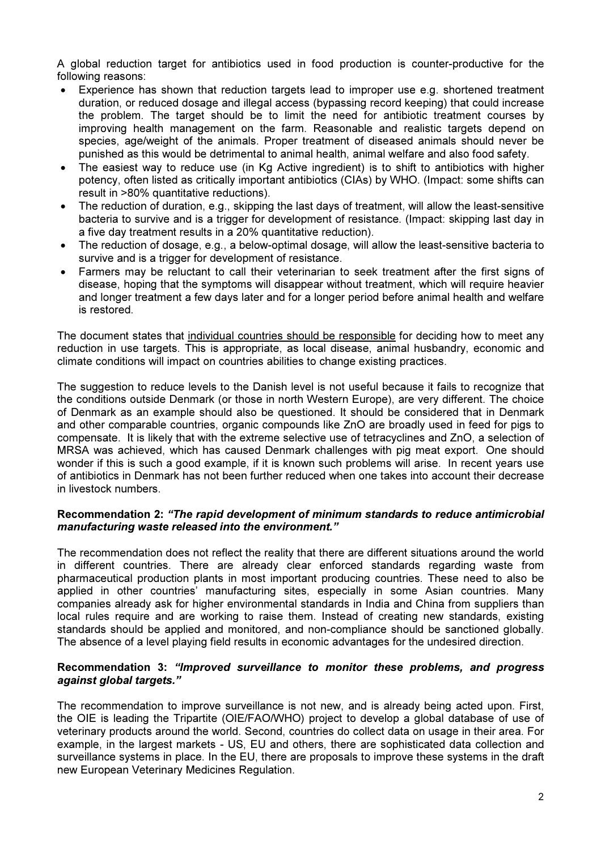A global reduction target for antibiotics used in food production is counter-productive for the following reasons:

- Experience has shown that reduction targets lead to improper use e.g. shortened treatment duration, or reduced dosage and illegal access (bypassing record keeping) that could increase the problem. The target should be to limit the need for antibiotic treatment courses by improving health management on the farm. Reasonable and realistic targets depend on species, age/weight of the animals. Proper treatment of diseased animals should never be punished as this would be detrimental to animal health, animal welfare and also food safety.
- The easiest way to reduce use (in Kg Active ingredient) is to shift to antibiotics with higher potency, often listed as critically important antibiotics (CIAs) by WHO. (Impact: some shifts can result in >80% quantitative reductions).
- The reduction of duration, e.g., skipping the last days of treatment, will allow the least-sensitive bacteria to survive and is a trigger for development of resistance. (Impact: skipping last day in a five day treatment results in a 20% quantitative reduction).
- The reduction of dosage, e.g., a below-optimal dosage, will allow the least-sensitive bacteria to survive and is a trigger for development of resistance.
- Farmers may be reluctant to call their veterinarian to seek treatment after the first signs of disease, hoping that the symptoms will disappear without treatment, which will require heavier and longer treatment a few days later and for a longer period before animal health and welfare is restored.

The document states that individual countries should be responsible for deciding how to meet any reduction in use targets. This is appropriate, as local disease, animal husbandry, economic and climate conditions will impact on countries abilities to change existing practices.

The suggestion to reduce levels to the Danish level is not useful because it fails to recognize that the conditions outside Denmark (or those in north Western Europe), are very different. The choice of Denmark as an example should also be questioned. It should be considered that in Denmark and other comparable countries, organic compounds like ZnO are broadly used in feed for pigs to compensate. It is likely that with the extreme selective use of tetracyclines and ZnO, a selection of MRSA was achieved, which has caused Denmark challenges with pig meat export. One should wonder if this is such a good example, if it is known such problems will arise. In recent years use of antibiotics in Denmark has not been further reduced when one takes into account their decrease in livestock numbers.

### Recommendation 2: "The rapid development of minimum standards to reduce antimicrobial manufacturing waste released into the environment."

The recommendation does not reflect the reality that there are different situations around the world in different countries. There are already clear enforced standards regarding waste from pharmaceutical production plants in most important producing countries. These need to also be applied in other countries' manufacturing sites, especially in some Asian countries. Many companies already ask for higher environmental standards in India and China from suppliers than local rules require and are working to raise them. Instead of creating new standards, existing standards should be applied and monitored, and non-compliance should be sanctioned globally. The absence of a level playing field results in economic advantages for the undesired direction.

## Recommendation 3: "Improved surveillance to monitor these problems, and progress against global targets."

The recommendation to improve surveillance is not new, and is already being acted upon. First, the OIE is leading the Tripartite (OIE/FAO/WHO) project to develop a global database of use of veterinary products around the world. Second, countries do collect data on usage in their area. For example, in the largest markets - US, EU and others, there are sophisticated data collection and surveillance systems in place. In the EU, there are proposals to improve these systems in the draft new European Veterinary Medicines Regulation.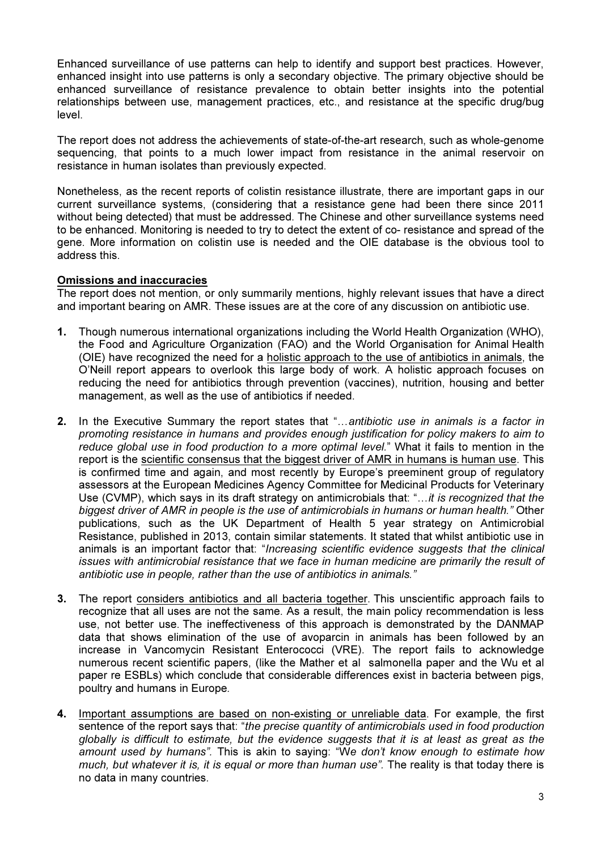Enhanced surveillance of use patterns can help to identify and support best practices. However, enhanced insight into use patterns is only a secondary objective. The primary objective should be enhanced surveillance of resistance prevalence to obtain better insights into the potential relationships between use, management practices, etc., and resistance at the specific drug/bug level.

The report does not address the achievements of state-of-the-art research, such as whole-genome sequencing, that points to a much lower impact from resistance in the animal reservoir on resistance in human isolates than previously expected.

Nonetheless, as the recent reports of colistin resistance illustrate, there are important gaps in our current surveillance systems, (considering that a resistance gene had been there since 2011 without being detected) that must be addressed. The Chinese and other surveillance systems need to be enhanced. Monitoring is needed to try to detect the extent of co- resistance and spread of the gene. More information on colistin use is needed and the OIE database is the obvious tool to address this.

## Omissions and inaccuracies

The report does not mention, or only summarily mentions, highly relevant issues that have a direct and important bearing on AMR. These issues are at the core of any discussion on antibiotic use.

- 1. Though numerous international organizations including the World Health Organization (WHO), the Food and Agriculture Organization (FAO) and the World Organisation for Animal Health (OIE) have recognized the need for a holistic approach to the use of antibiotics in animals, the O'Neill report appears to overlook this large body of work. A holistic approach focuses on reducing the need for antibiotics through prevention (vaccines), nutrition, housing and better management, as well as the use of antibiotics if needed.
- 2. In the Executive Summary the report states that "...antibiotic use in animals is a factor in promoting resistance in humans and provides enough justification for policy makers to aim to reduce global use in food production to a more optimal level." What it fails to mention in the report is the scientific consensus that the biggest driver of AMR in humans is human use. This is confirmed time and again, and most recently by Europe's preeminent group of regulatory assessors at the European Medicines Agency Committee for Medicinal Products for Veterinary Use (CVMP), which says in its draft strategy on antimicrobials that: "...it is recognized that the biggest driver of AMR in people is the use of antimicrobials in humans or human health." Other publications, such as the UK Department of Health 5 year strategy on Antimicrobial Resistance, published in 2013, contain similar statements. It stated that whilst antibiotic use in animals is an important factor that: "Increasing scientific evidence suggests that the clinical issues with antimicrobial resistance that we face in human medicine are primarily the result of antibiotic use in people, rather than the use of antibiotics in animals."
- 3. The report considers antibiotics and all bacteria together. This unscientific approach fails to recognize that all uses are not the same. As a result, the main policy recommendation is less use, not better use. The ineffectiveness of this approach is demonstrated by the DANMAP data that shows elimination of the use of avoparcin in animals has been followed by an increase in Vancomycin Resistant Enterococci (VRE). The report fails to acknowledge numerous recent scientific papers, (like the Mather et al salmonella paper and the Wu et al paper re ESBLs) which conclude that considerable differences exist in bacteria between pigs, poultry and humans in Europe.
- 4. Important assumptions are based on non-existing or unreliable data. For example, the first sentence of the report says that: "the precise quantity of antimicrobials used in food production globally is difficult to estimate, but the evidence suggests that it is at least as great as the amount used by humans". This is akin to saying: "We don't know enough to estimate how much, but whatever it is, it is equal or more than human use". The reality is that today there is no data in many countries.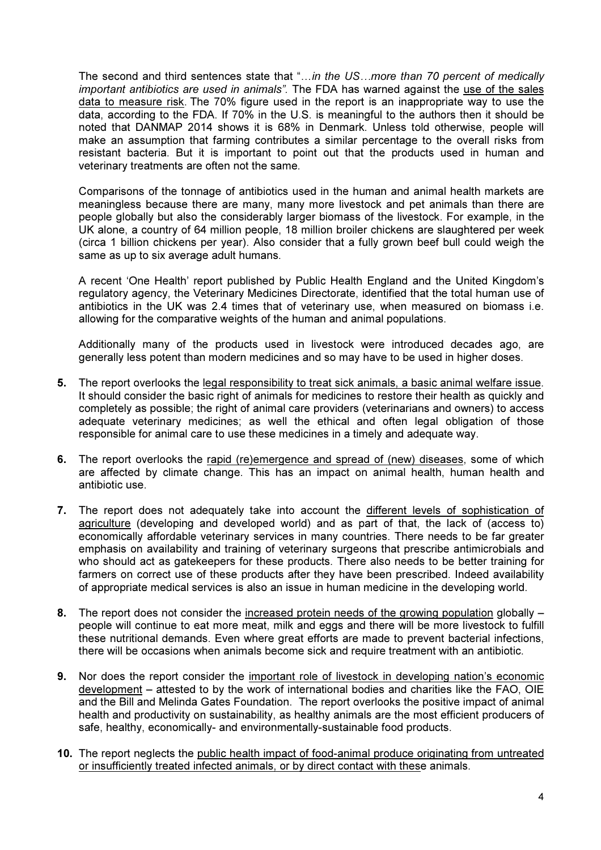The second and third sentences state that "...in the US...more than 70 percent of medically important antibiotics are used in animals". The FDA has warned against the use of the sales data to measure risk. The 70% figure used in the report is an inappropriate way to use the data, according to the FDA. If 70% in the U.S. is meaningful to the authors then it should be noted that DANMAP 2014 shows it is 68% in Denmark. Unless told otherwise, people will make an assumption that farming contributes a similar percentage to the overall risks from resistant bacteria. But it is important to point out that the products used in human and veterinary treatments are often not the same.

Comparisons of the tonnage of antibiotics used in the human and animal health markets are meaningless because there are many, many more livestock and pet animals than there are people globally but also the considerably larger biomass of the livestock. For example, in the UK alone, a country of 64 million people, 18 million broiler chickens are slaughtered per week (circa 1 billion chickens per year). Also consider that a fully grown beef bull could weigh the same as up to six average adult humans.

A recent 'One Health' report published by Public Health England and the United Kingdom's regulatory agency, the Veterinary Medicines Directorate, identified that the total human use of antibiotics in the UK was 2.4 times that of veterinary use, when measured on biomass i.e. allowing for the comparative weights of the human and animal populations.

Additionally many of the products used in livestock were introduced decades ago, are generally less potent than modern medicines and so may have to be used in higher doses.

- 5. The report overlooks the legal responsibility to treat sick animals, a basic animal welfare issue. It should consider the basic right of animals for medicines to restore their health as quickly and completely as possible; the right of animal care providers (veterinarians and owners) to access adequate veterinary medicines; as well the ethical and often legal obligation of those responsible for animal care to use these medicines in a timely and adequate way.
- 6. The report overlooks the rapid (re)emergence and spread of (new) diseases, some of which are affected by climate change. This has an impact on animal health, human health and antibiotic use.
- 7. The report does not adequately take into account the different levels of sophistication of agriculture (developing and developed world) and as part of that, the lack of (access to) economically affordable veterinary services in many countries. There needs to be far greater emphasis on availability and training of veterinary surgeons that prescribe antimicrobials and who should act as gatekeepers for these products. There also needs to be better training for farmers on correct use of these products after they have been prescribed. Indeed availability of appropriate medical services is also an issue in human medicine in the developing world.
- 8. The report does not consider the increased protein needs of the growing population globally people will continue to eat more meat, milk and eggs and there will be more livestock to fulfill these nutritional demands. Even where great efforts are made to prevent bacterial infections, there will be occasions when animals become sick and require treatment with an antibiotic.
- 9. Nor does the report consider the important role of livestock in developing nation's economic development – attested to by the work of international bodies and charities like the FAO, OIE and the Bill and Melinda Gates Foundation. The report overlooks the positive impact of animal health and productivity on sustainability, as healthy animals are the most efficient producers of safe, healthy, economically- and environmentally-sustainable food products.
- 10. The report neglects the public health impact of food-animal produce originating from untreated or insufficiently treated infected animals, or by direct contact with these animals.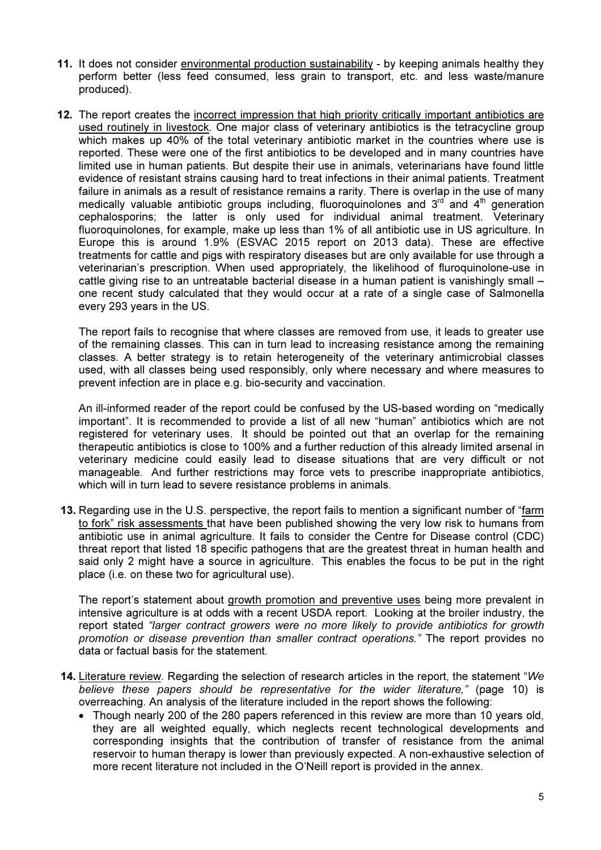- 11. It does not consider environmental production sustainability by keeping animals healthy they perform better (less feed consumed, less grain to transport, etc. and less waste/manure produced).
- 12. The report creates the incorrect impression that high priority critically important antibiotics are used routinely in livestock. One major class of veterinary antibiotics is the tetracycline group which makes up 40% of the total veterinary antibiotic market in the countries where use is reported. These were one of the first antibiotics to be developed and in many countries have limited use in human patients. But despite their use in animals, veterinarians have found little evidence of resistant strains causing hard to treat infections in their animal patients. Treatment failure in animals as a result of resistance remains a rarity. There is overlap in the use of many medically valuable antibiotic groups including, fluoroquinolones and  $3<sup>rd</sup>$  and  $4<sup>th</sup>$  generation cephalosporins; the latter is only used for individual animal treatment. Veterinary fluoroquinolones, for example, make up less than 1% of all antibiotic use in US agriculture. In Europe this is around 1.9% (ESVAC 2015 report on 2013 data). These are effective treatments for cattle and pigs with respiratory diseases but are only available for use through a veterinarian's prescription. When used appropriately, the likelihood of fluroquinolone-use in cattle giving rise to an untreatable bacterial disease in a human patient is vanishingly small – one recent study calculated that they would occur at a rate of a single case of Salmonella every 293 years in the US.

The report fails to recognise that where classes are removed from use, it leads to greater use of the remaining classes. This can in turn lead to increasing resistance among the remaining classes. A better strategy is to retain heterogeneity of the veterinary antimicrobial classes used, with all classes being used responsibly, only where necessary and where measures to prevent infection are in place e.g. bio-security and vaccination.

An ill-informed reader of the report could be confused by the US-based wording on "medically important". It is recommended to provide a list of all new "human" antibiotics which are not registered for veterinary uses. It should be pointed out that an overlap for the remaining therapeutic antibiotics is close to 100% and a further reduction of this already limited arsenal in veterinary medicine could easily lead to disease situations that are very difficult or not manageable. And further restrictions may force vets to prescribe inappropriate antibiotics, which will in turn lead to severe resistance problems in animals.

13. Regarding use in the U.S. perspective, the report fails to mention a significant number of "farm to fork" risk assessments that have been published showing the very low risk to humans from antibiotic use in animal agriculture. It fails to consider the Centre for Disease control (CDC) threat report that listed 18 specific pathogens that are the greatest threat in human health and said only 2 might have a source in agriculture. This enables the focus to be put in the right place (i.e. on these two for agricultural use).

The report's statement about growth promotion and preventive uses being more prevalent in intensive agriculture is at odds with a recent USDA report. Looking at the broiler industry, the report stated "larger contract growers were no more likely to provide antibiotics for growth promotion or disease prevention than smaller contract operations." The report provides no data or factual basis for the statement.

- 14. Literature review. Regarding the selection of research articles in the report, the statement "We believe these papers should be representative for the wider literature," (page 10) is overreaching. An analysis of the literature included in the report shows the following:
	- Though nearly 200 of the 280 papers referenced in this review are more than 10 years old, they are all weighted equally, which neglects recent technological developments and corresponding insights that the contribution of transfer of resistance from the animal reservoir to human therapy is lower than previously expected. A non-exhaustive selection of more recent literature not included in the O'Neill report is provided in the annex.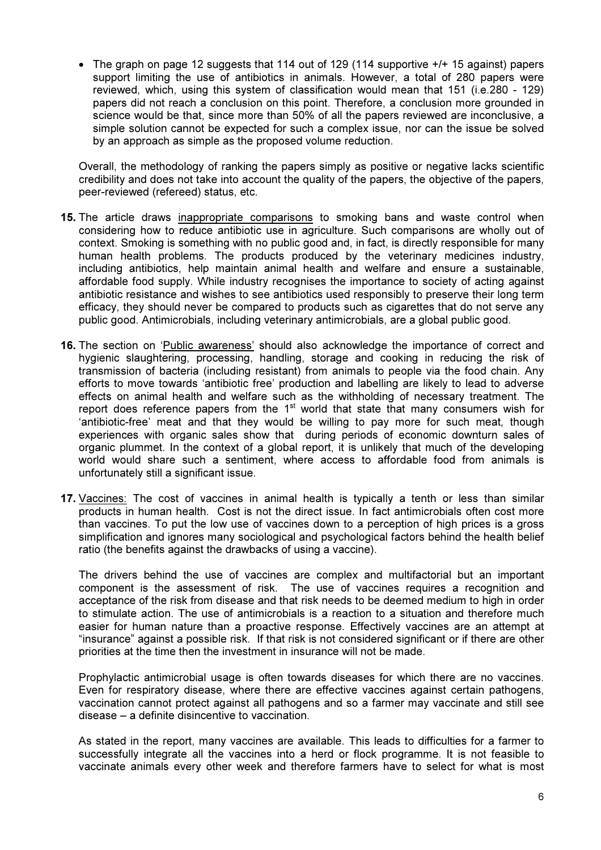• The graph on page 12 suggests that 114 out of 129 (114 supportive +/+ 15 against) papers support limiting the use of antibiotics in animals. However, a total of 280 papers were reviewed, which, using this system of classification would mean that 151 (i.e.280 - 129) papers did not reach a conclusion on this point. Therefore, a conclusion more grounded in science would be that, since more than 50% of all the papers reviewed are inconclusive, a simple solution cannot be expected for such a complex issue, nor can the issue be solved by an approach as simple as the proposed volume reduction.

Overall, the methodology of ranking the papers simply as positive or negative lacks scientific credibility and does not take into account the quality of the papers, the objective of the papers, peer-reviewed (refereed) status, etc.

- 15. The article draws inappropriate comparisons to smoking bans and waste control when considering how to reduce antibiotic use in agriculture. Such comparisons are wholly out of context. Smoking is something with no public good and, in fact, is directly responsible for many human health problems. The products produced by the veterinary medicines industry, including antibiotics, help maintain animal health and welfare and ensure a sustainable, affordable food supply. While industry recognises the importance to society of acting against antibiotic resistance and wishes to see antibiotics used responsibly to preserve their long term efficacy, they should never be compared to products such as cigarettes that do not serve any public good. Antimicrobials, including veterinary antimicrobials, are a global public good.
- 16. The section on 'Public awareness' should also acknowledge the importance of correct and hygienic slaughtering, processing, handling, storage and cooking in reducing the risk of transmission of bacteria (including resistant) from animals to people via the food chain. Any efforts to move towards 'antibiotic free' production and labelling are likely to lead to adverse effects on animal health and welfare such as the withholding of necessary treatment. The report does reference papers from the  $1<sup>st</sup>$  world that state that many consumers wish for 'antibiotic-free' meat and that they would be willing to pay more for such meat, though experiences with organic sales show that during periods of economic downturn sales of organic plummet. In the context of a global report, it is unlikely that much of the developing world would share such a sentiment, where access to affordable food from animals is unfortunately still a significant issue.
- 17. Vaccines: The cost of vaccines in animal health is typically a tenth or less than similar products in human health. Cost is not the direct issue. In fact antimicrobials often cost more than vaccines. To put the low use of vaccines down to a perception of high prices is a gross simplification and ignores many sociological and psychological factors behind the health belief ratio (the benefits against the drawbacks of using a vaccine).

The drivers behind the use of vaccines are complex and multifactorial but an important component is the assessment of risk. The use of vaccines requires a recognition and acceptance of the risk from disease and that risk needs to be deemed medium to high in order to stimulate action. The use of antimicrobials is a reaction to a situation and therefore much easier for human nature than a proactive response. Effectively vaccines are an attempt at "insurance" against a possible risk. If that risk is not considered significant or if there are other priorities at the time then the investment in insurance will not be made.

Prophylactic antimicrobial usage is often towards diseases for which there are no vaccines. Even for respiratory disease, where there are effective vaccines against certain pathogens, vaccination cannot protect against all pathogens and so a farmer may vaccinate and still see disease – a definite disincentive to vaccination.

As stated in the report, many vaccines are available. This leads to difficulties for a farmer to successfully integrate all the vaccines into a herd or flock programme. It is not feasible to vaccinate animals every other week and therefore farmers have to select for what is most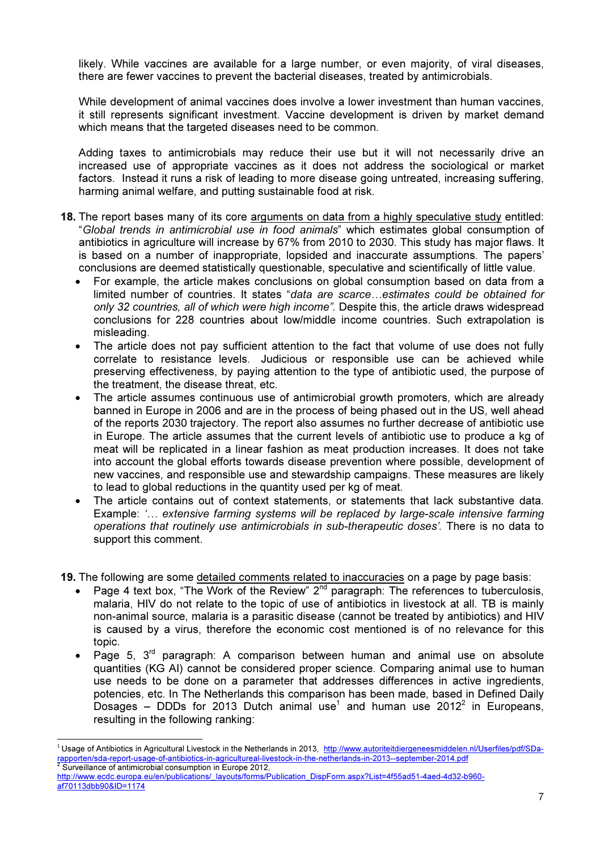likely. While vaccines are available for a large number, or even majority, of viral diseases, there are fewer vaccines to prevent the bacterial diseases, treated by antimicrobials.

While development of animal vaccines does involve a lower investment than human vaccines, it still represents significant investment. Vaccine development is driven by market demand which means that the targeted diseases need to be common.

Adding taxes to antimicrobials may reduce their use but it will not necessarily drive an increased use of appropriate vaccines as it does not address the sociological or market factors. Instead it runs a risk of leading to more disease going untreated, increasing suffering, harming animal welfare, and putting sustainable food at risk.

- 18. The report bases many of its core arguments on data from a highly speculative study entitled: "Global trends in antimicrobial use in food animals" which estimates global consumption of antibiotics in agriculture will increase by 67% from 2010 to 2030. This study has major flaws. It is based on a number of inappropriate, lopsided and inaccurate assumptions. The papers' conclusions are deemed statistically questionable, speculative and scientifically of little value.
	- For example, the article makes conclusions on global consumption based on data from a limited number of countries. It states "data are scarce...estimates could be obtained for only 32 countries, all of which were high income". Despite this, the article draws widespread conclusions for 228 countries about low/middle income countries. Such extrapolation is misleading.
	- The article does not pay sufficient attention to the fact that volume of use does not fully correlate to resistance levels. Judicious or responsible use can be achieved while preserving effectiveness, by paying attention to the type of antibiotic used, the purpose of the treatment, the disease threat, etc.
	- The article assumes continuous use of antimicrobial growth promoters, which are already banned in Europe in 2006 and are in the process of being phased out in the US, well ahead of the reports 2030 trajectory. The report also assumes no further decrease of antibiotic use in Europe. The article assumes that the current levels of antibiotic use to produce a kg of meat will be replicated in a linear fashion as meat production increases. It does not take into account the global efforts towards disease prevention where possible, development of new vaccines, and responsible use and stewardship campaigns. These measures are likely to lead to global reductions in the quantity used per kg of meat.
	- The article contains out of context statements, or statements that lack substantive data. Example: '... extensive farming systems will be replaced by large-scale intensive farming operations that routinely use antimicrobials in sub-therapeutic doses'. There is no data to support this comment.
- 19. The following are some detailed comments related to inaccuracies on a page by page basis:
	- Page 4 text box, "The Work of the Review"  $2^{nd}$  paragraph: The references to tuberculosis, malaria, HIV do not relate to the topic of use of antibiotics in livestock at all. TB is mainly non-animal source, malaria is a parasitic disease (cannot be treated by antibiotics) and HIV is caused by a virus, therefore the economic cost mentioned is of no relevance for this topic.
	- Page 5,  $3<sup>rd</sup>$  paragraph: A comparison between human and animal use on absolute quantities (KG AI) cannot be considered proper science. Comparing animal use to human use needs to be done on a parameter that addresses differences in active ingredients, potencies, etc. In The Netherlands this comparison has been made, based in Defined Daily  $\overline{\textsf{D}}$ osages – DDDs for 2013 Dutch animal use $^1$  and human use 2012 $^2$  in Europeans, resulting in the following ranking:

l

<sup>&</sup>lt;sup>1</sup> Usage of Antibiotics in Agricultural Livestock in the Netherlands in 2013, http://www.autoriteitdiergeneesmiddelen.nl/Userfiles/pdf/SDarapporten/sda-report-usage-of-antibiotics-in-agricultureal-livestock-in-the-netherlands-in-2013--september-2014.pdf<br><sup>2</sup> Surveillance of antimiershiel sepsumption in Europe 2012 Surveillance of antimicrobial consumption in Europe 2012,

http://www.ecdc.europa.eu/en/publications/\_layouts/forms/Publication\_DispForm.aspx?List=4f55ad51-4aed-4d32-b960af70113dbb90&ID=1174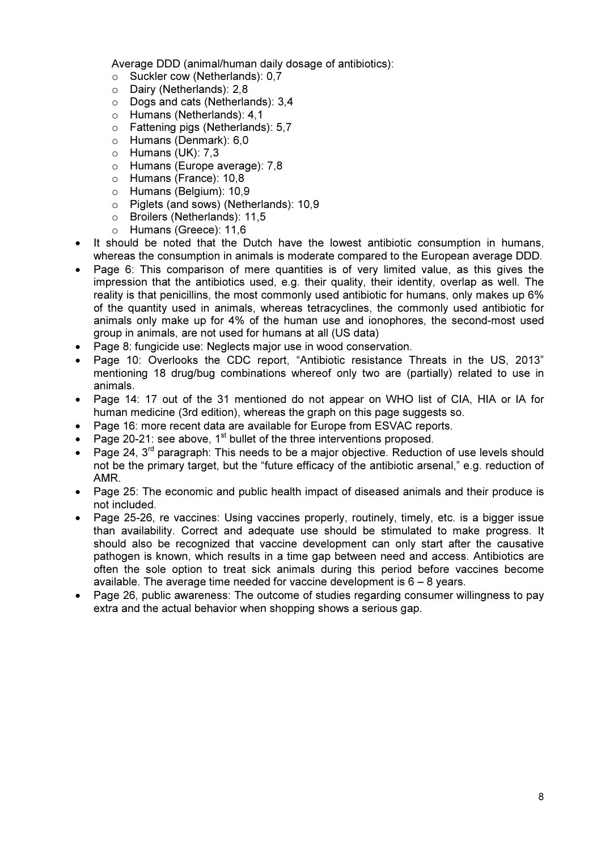Average DDD (animal/human daily dosage of antibiotics):

- o Suckler cow (Netherlands): 0,7
- o Dairy (Netherlands): 2,8
- o Dogs and cats (Netherlands): 3,4
- o Humans (Netherlands): 4,1
- o Fattening pigs (Netherlands): 5,7
- o Humans (Denmark): 6,0
- o Humans (UK): 7,3
- o Humans (Europe average): 7,8
- o Humans (France): 10,8
- o Humans (Belgium): 10,9
- o Piglets (and sows) (Netherlands): 10,9
- o Broilers (Netherlands): 11,5
- o Humans (Greece): 11,6
- It should be noted that the Dutch have the lowest antibiotic consumption in humans, whereas the consumption in animals is moderate compared to the European average DDD.
- Page 6: This comparison of mere quantities is of very limited value, as this gives the impression that the antibiotics used, e.g. their quality, their identity, overlap as well. The reality is that penicillins, the most commonly used antibiotic for humans, only makes up 6% of the quantity used in animals, whereas tetracyclines, the commonly used antibiotic for animals only make up for 4% of the human use and ionophores, the second-most used group in animals, are not used for humans at all (US data)
- Page 8: fungicide use: Neglects major use in wood conservation.
- Page 10: Overlooks the CDC report, "Antibiotic resistance Threats in the US, 2013" mentioning 18 drug/bug combinations whereof only two are (partially) related to use in animals.
- Page 14: 17 out of the 31 mentioned do not appear on WHO list of CIA, HIA or IA for human medicine (3rd edition), whereas the graph on this page suggests so.
- Page 16: more recent data are available for Europe from ESVAC reports.
- Page 20-21: see above,  $1^{st}$  bullet of the three interventions proposed.
- Page 24, 3<sup>rd</sup> paragraph: This needs to be a major objective. Reduction of use levels should not be the primary target, but the "future efficacy of the antibiotic arsenal," e.g. reduction of AMR.
- Page 25: The economic and public health impact of diseased animals and their produce is not included.
- Page 25-26, re vaccines: Using vaccines properly, routinely, timely, etc. is a bigger issue than availability. Correct and adequate use should be stimulated to make progress. It should also be recognized that vaccine development can only start after the causative pathogen is known, which results in a time gap between need and access. Antibiotics are often the sole option to treat sick animals during this period before vaccines become available. The average time needed for vaccine development is  $6 - 8$  years.
- Page 26, public awareness: The outcome of studies regarding consumer willingness to pay extra and the actual behavior when shopping shows a serious gap.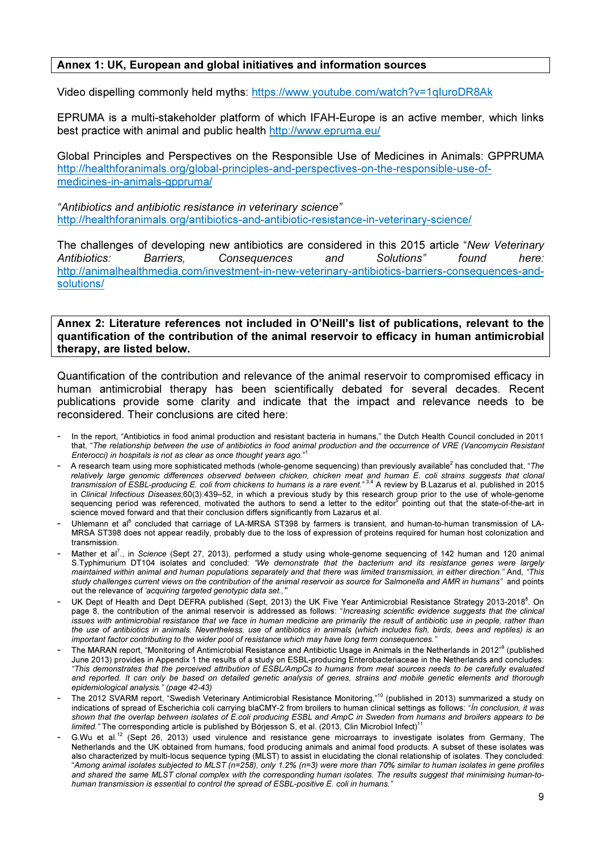#### Annex 1: UK, European and global initiatives and information sources

Video dispelling commonly held myths: https://www.youtube.com/watch?v=1qIuroDR8Ak

EPRUMA is a multi-stakeholder platform of which IFAH-Europe is an active member, which links best practice with animal and public health http://www.epruma.eu/

Global Principles and Perspectives on the Responsible Use of Medicines in Animals: GPPRUMA http://healthforanimals.org/global-principles-and-perspectives-on-the-responsible-use-ofmedicines-in-animals-gppruma/

"Antibiotics and antibiotic resistance in veterinary science" http://healthforanimals.org/antibiotics-and-antibiotic-resistance-in-veterinary-science/

The challenges of developing new antibiotics are considered in this 2015 article "New Veterinary Antibiotics: Barriers, Consequences and Solutions" found here: http://animalhealthmedia.com/investment-in-new-veterinary-antibiotics-barriers-consequences-andsolutions/

Annex 2: Literature references not included in O'Neill's list of publications, relevant to the quantification of the contribution of the animal reservoir to efficacy in human antimicrobial therapy, are listed below.

Quantification of the contribution and relevance of the animal reservoir to compromised efficacy in human antimicrobial therapy has been scientifically debated for several decades. Recent publications provide some clarity and indicate that the impact and relevance needs to be reconsidered. Their conclusions are cited here:

- In the report, "Antibiotics in food animal production and resistant bacteria in humans," the Dutch Health Council concluded in 2011 that, "The relationship between the use of antibiotics in food animal production and the occurrence of VRE (Vancomycin Resistant Enterocci) in hospitals is not as clear as once thought years ago."<sup>1</sup>
- A research team using more sophisticated methods (whole-genome sequencing) than previously available<sup>2</sup> has concluded that, "The relatively large genomic differences observed between chicken, chicken meat and human E. coli strains suggests that clonal transmission of ESBL-producing E. coli from chickens to humans is a rare event." <sup>3,4</sup> A review by B.Lazarus et al. published in 2015 in *Clinical Infectious Diseases*;60(3):439–52, in which a previous study by this research group prior to the use of whole-genome<br>sequencing period was referenced, motivated the authors to send a letter to the editor<sup>5</sup> po science moved forward and that their conclusion differs significantly from Lazarus et al.
- Uhlemann et al<sup>6</sup> concluded that carriage of LA-MRSA ST398 by farmers is transient, and human-to-human transmission of LA-MRSA ST398 does not appear readily, probably due to the loss of expression of proteins required for human host colonization and transmission.
- Mather et al<sup>7</sup>., in Science (Sept 27, 2013), performed a study using whole-genome sequencing of 142 human and 120 animal S.Typhimurium DT104 isolates and concluded: "We demonstrate that the bacterium and its resistance genes were largely maintained within animal and human populations separately and that there was limited transmission, in either direction." And, "This study challenges current views on the contribution of the animal reservoir as source for Salmonella and AMR in humans" and points out the relevance of 'acquiring targeted genotypic data set.,'
- UK Dept of Health and Dept DEFRA published (Sept, 2013) the UK Five Year Antimicrobial Resistance Strategy 2013-2018<sup>8</sup>. On page 8, the contribution of the animal reservoir is addressed as follows: "Increasing scientific evidence suggests that the clinical issues with antimicrobial resistance that we face in human medicine are primarily the result of antibiotic use in people, rather than the use of antibiotics in animals. Nevertheless, use of antibiotics in animals (which includes fish, birds, bees and reptiles) is an important factor contributing to the wider pool of resistance which may have long term consequences."
- The MARAN report, "Monitoring of Antimicrobial Resistance and Antibiotic Usage in Animals in the Netherlands in 2012<sup>"9</sup> (published June 2013) provides in Appendix 1 the results of a study on ESBL-producing Enterobacteriaceae in the Netherlands and concludes: "This demonstrates that the perceived attribution of ESBL/AmpCs to humans from meat sources needs to be carefully evaluated and reported. It can only be based on detailed genetic analysis of genes, strains and mobile genetic elements and thorough epidemiological analysis." (page 42-43)
- The 2012 SVARM report, "Swedish Veterinary Antimicrobial Resistance Monitoring,"<sup>10</sup> (published in 2013) summarized a study on indications of spread of Escherichia coli carrying blaCMY-2 from broilers to human clinical settings as follows: "Ín conclusion, it was shown that the overlap between isolates of E.coli producing ESBL and AmpC in Sweden from humans and broilers appears to be limited." The corresponding article is published by Börjesson S, et al. (2013, Clin Microbiol Infect)<sup>1</sup>
- G.Wu et al.<sup>12</sup> (Sept 26, 2013) used virulence and resistance gene microarrays to investigate isolates from Germany. The Netherlands and the UK obtained from humans, food producing animals and animal food products. A subset of these isolates was also characterized by multi-locus sequence typing (MLST) to assist in elucidating the clonal relationship of isolates. They concluded: "Among animal isolates subjected to MLST (n=258), only 1.2% (n=3) were more than 70% similar to human isolates in gene profiles and shared the same MLST clonal complex with the corresponding human isolates. The results suggest that minimising human-tohuman transmission is essential to control the spread of ESBL-positive E. coli in humans.'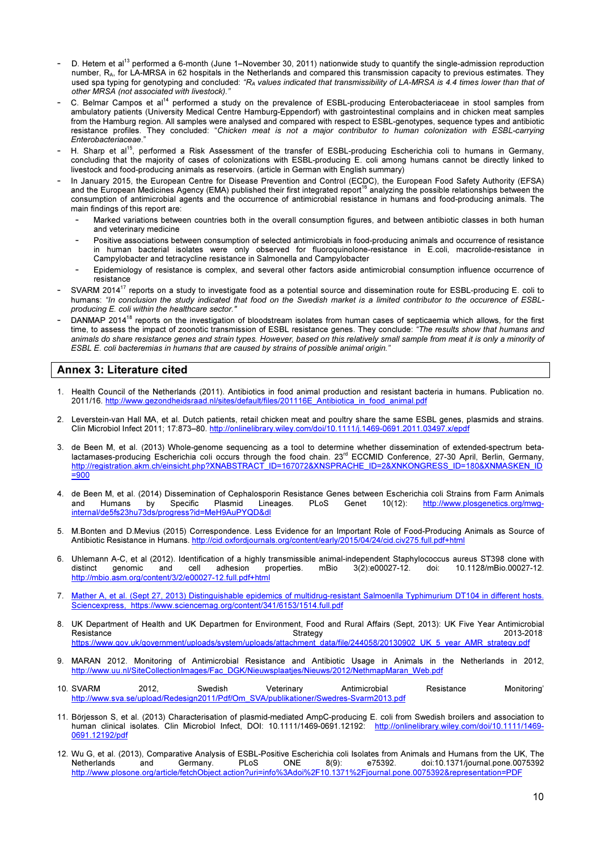- D. Hetem et al<sup>13</sup> performed a 6-month (June 1–November 30, 2011) nationwide study to quantify the single-admission reproduction number, RA, for LA-MRSA in 62 hospitals in the Netherlands and compared this transmission capacity to previous estimates. They used spa typing for genotyping and concluded: "R<sub>A</sub> values indicated that transmissibility of LA-MRSA is 4.4 times lower than that of other MRSA (not associated with livestock)."
- C. Belmar Campos et al<sup>14</sup> performed a study on the prevalence of ESBL-producing Enterobacteriaceae in stool samples from ambulatory patients (University Medical Centre Hamburg-Eppendorf) with gastrointestinal complains and in chicken meat samples from the Hamburg region. All samples were analysed and compared with respect to ESBL-genotypes, sequence types and antibiotic resistance profiles. They concluded: "Chicken meat is not a major contributor to human colonization with ESBL-carrying Enterobacteriaceae."
- H. Sharp et al<sup>15</sup>, performed a Risk Assessment of the transfer of ESBL-producing Escherichia coli to humans in Germany, concluding that the majority of cases of colonizations with ESBL-producing E. coli among humans cannot be directly linked to livestock and food-producing animals as reservoirs. (article in German with English summary)
- In January 2015, the European Centre for Disease Prevention and Control (ECDC), the European Food Safety Authority (EFSA) and the European Medicines Agency (EMA) published their first integrated report<sup>16</sup> analyzing the possible relationships between the consumption of antimicrobial agents and the occurrence of antimicrobial resistance in humans and food-producing animals. The main findings of this report are:
	- Marked variations between countries both in the overall consumption figures, and between antibiotic classes in both human and veterinary medicine
	- Positive associations between consumption of selected antimicrobials in food-producing animals and occurrence of resistance in human bacterial isolates were only observed for fluoroquinolone-resistance in E.coli, macrolide-resistance in Campylobacter and tetracycline resistance in Salmonella and Campylobacter
	- Epidemiology of resistance is complex, and several other factors aside antimicrobial consumption influence occurrence of resistance
- SVARM 2014<sup>17</sup> reports on a study to investigate food as a potential source and dissemination route for ESBL-producing E. coli to humans: "In conclusion the study indicated that food on the Swedish market is a limited contributor to the occurence of ESBLproducing E. coli within the healthcare sector."
- DANMAP 2014<sup>18</sup> reports on the investigation of bloodstream isolates from human cases of septicaemia which allows, for the first time, to assess the impact of zoonotic transmission of ESBL resistance genes. They conclude: "The results show that humans and animals do share resistance genes and strain types. However, based on this relatively small sample from meat it is only a minority of ESBL E. coli bacteremias in humans that are caused by strains of possible animal origin."

# Annex 3: Literature cited

- 1. Health Council of the Netherlands (2011). Antibiotics in food animal production and resistant bacteria in humans. Publication no. 2011/16. http://www.gezondheidsraad.nl/sites/default/files/201116E\_Antibiotica\_in\_food\_animal.pdf
- 2. Leverstein-van Hall MA, et al. Dutch patients, retail chicken meat and poultry share the same ESBL genes, plasmids and strains. Clin Microbiol Infect 2011; 17:873–80. http://onlinelibrary.wiley.com/doi/10.1111/j.1469-0691.2011.03497.x/epdf
- 3. de Been M, et al. (2013) Whole-genome sequencing as a tool to determine whether dissemination of extended-spectrum betalactamases-producing Escherichia coli occurs through the food chain. 23<sup>rd</sup> ECCMID Conference, 27-30 April, Berlin, Germany, http://registration.akm.ch/einsicht.php?XNABSTRACT\_ID=167072&XNSPRACHE\_ID=2&XNKONGRESS\_ID=180&XNMASKEN\_ID =900
- 4. de Been M, et al. (2014) Dissemination of Cephalosporin Resistance Genes between Escherichia coli Strains from Farm Animals<br>and Humans by Specific Plasmid Lineages. PLoS Genet 10(12): http://www.plosgenetics.org/mwg and Humans by Specific Plasmid Lineages. PLoS Genet 10(12): http://www.plosgenetics.org/mwginternal/de5fs23hu73ds/progress?id=MeH9AuPYQD&dl
- 5. M.Bonten and D.Mevius (2015) Correspondence. Less Evidence for an Important Role of Food-Producing Animals as Source of Antibiotic Resistance in Humans. http://cid.oxfordjournals.org/content/early/2015/04/24/cid.civ275.full.pdf+html
- 6. Uhlemann A-C, et al (2012). Identification of a highly transmissible animal-independent Staphylococcus aureus ST398 clone with distinct genomic and cell adhesion properties. mBio 3(2):e00027-12. doi: 10.1128/mBio.00027-10.1128/mBio.00027-12. http://mbio.asm.org/content/3/2/e00027-12.full.pdf+html
- 7. Mather A, et al. (Sept 27, 2013) Distinguishable epidemics of multidrug-resistant Salmoenlla Typhimurium DT104 in different hosts. Sciencexpress, https://www.sciencemag.org/content/341/6153/1514.full.pdf
- 8. UK Department of Health and UK Departmen for Environment, Food and Rural Affairs (Sept, 2013): UK Five Year Antimicrobial<br>8113-2018: Strategy Resistance 2013-2018 and 2013-2018. The Strategy Strategy Strategy 2013-2018 https://www.gov.uk/government/uploads/system/uploads/attachment\_data/file/244058/20130902\_UK\_5\_year\_AMR\_strategy.pdf
- 9. MARAN 2012. Monitoring of Antimicrobial Resistance and Antibiotic Usage in Animals in the Netherlands in 2012, http://www.uu.nl/SiteCollectionImages/Fac\_DGK/Nieuwsplaatjes/Nieuws/2012/NethmapMaran\_Web.pdf
- 10. SVARM 2012, Swedish Veterinary Antimicrobial Resistance Monitoring' http://www.sva.se/upload/Redesign2011/Pdf/Om\_SVA/publikationer/Swedres-Svarm2013.pdf
- 11. Börjesson S, et al. (2013) Characterisation of plasmid-mediated AmpC-producing E. coli from Swedish broilers and association to human clinical isolates. Clin Microbiol Infect, DOI: 10.1111/1469-0691.12192: http://onlinelibrary.wiley.com/doi/10.1111/1469- 0691.12192/pdf
- 12. Wu G, et al. (2013), Comparative Analysis of ESBL-Positive Escherichia coli Isolates from Animals and Humans from the UK, The<br>Netherlands and Germany. PLoS ONE 8(9): e75392. doi:10.1371/journal.pone.0075392 Netherlands and Germany. PLoS ONE 8(9): e75392. doi:10.1371/journal.pone.0075392<br>http://www.plosone.org/article/fetchObject.action?uri=info%3Adoi%2F10.1371%2Fiournal.pone.0075392&representation=PDF http://www.plosone.org/article/fetchObject.action?uri=info%3Adoi%2F10.1371%2Fjournal.pone.0075392&representation=PDF